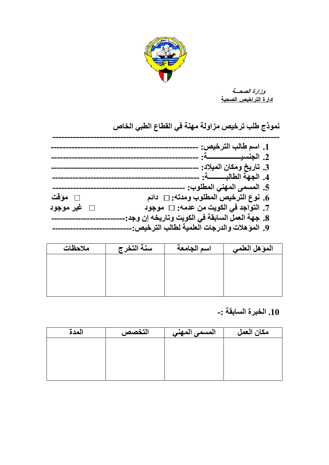

وزارة الصعسة <u>إدارة التراخيص الصحية</u>

نموذج طلب ترخيص مزاولة مهنة في القطاع الطبي الخاص

|             | 1. اسم طالب الترخيص:                            |
|-------------|-------------------------------------------------|
|             |                                                 |
|             |                                                 |
|             | 3. تاريخ ومكان الميلاد:                         |
|             | 4. الجهة الطالبـــــــــــة: -                  |
|             | 5. المسمى المهنى المطلوب: .                     |
| $\Box$ مؤقت | 6. نوع الترخيص المطلوب ومدته: □   دائم          |
| □ غير موجود | 7. التواجد في الكويت من عدمه: □ موجود           |
|             | 8. جهة العمل السابقة في الكويت وتاريخه إن وجد:. |
|             | 9. المؤهلات والدرجات العلمية لطالب الترخيص:-    |

| ملاحظات | سنة التخرج | اسم الجامعة | المؤهل العلمي |
|---------|------------|-------------|---------------|
|         |            |             |               |
|         |            |             |               |
|         |            |             |               |
|         |            |             |               |

## 10. الخبرة السابقة :-

| المدة | التخصص | المسمى المهني | مكان العمل |
|-------|--------|---------------|------------|
|       |        |               |            |
|       |        |               |            |
|       |        |               |            |
|       |        |               |            |